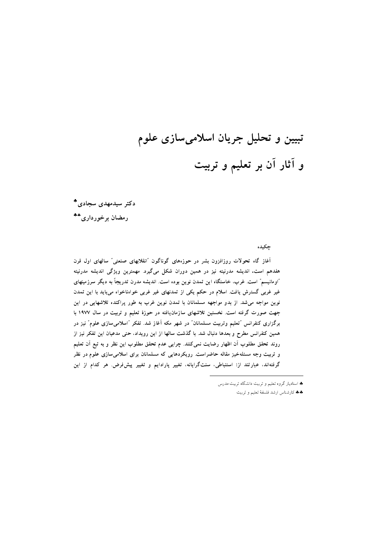# تبیین و تحلیل جریان اسلامیسازی علوم و آثار آن بر تعلیم و تربیت

دکتر سیدمهدی سجادی\*

رمضان برخورداري\*\*

جكيده

آغاز گاه تحولات روزافزون بشر در حوزههای گوناگون "انقلابهای صنعتی" سالهای اول قرن هفدهم است. اندیشه مدرنیته نیز در همین دوران شکل میگیرد. مهمترین ویژگی اندیشه مدرنیته "اومانیسم" است. غرب، خاستگاه این تمدن نوین بوده است. اندیشه مدرن تدریجاً به دیگر سرزمینهای غیر غربی گسترش یافت. اسلام در حکم یکی از تمدنهای غیر غربی خواهناخواه میباید با این تمدن نوین مواجه می شد. از بدو مواجهه مسلمانان با تمدن نوین غرب به طور پراکنده تلاشهایی در این جهت صورت گرفته است. نخستین تلاشهای سازمانیافته در حوزهٔ تعلیم و تربیت در سال ۱۹۷۷ با برگزاری کنفرانس "تعلیم وتربیت مسلمانان" در شهر مکه آغاز شد. تفکر "اسلامی سازی علوم" نیز در همین کنفرانس مطرح و بعدها دنبال شد. با گذشت سالها از این رویداد، حتی مدعیان این تفکر نیز از روند تحقق مطلوب آن اظهار رضایت نمی کنند. چرایی عدم تحقق مطلوب این نظر و به تبع آن تعلیم و تربیت وجه مسئلهخیز مقاله حاضراست. رویکردهایی که مسلمانان برای اسلامیسازی علوم در نظر گرفتهاند، عبارتند از: استنباطی، سنتگرایانه، تغییر پارادایم و تغییر پیشفرض. هر کدام از این

<sup>♦</sup> استادیار گروه تعلیم و تربیت دانشگاه تربیت مدرس

<sup>\*\*</sup> قارشناس ارشد فلسفهٔ تعلیم و تربیت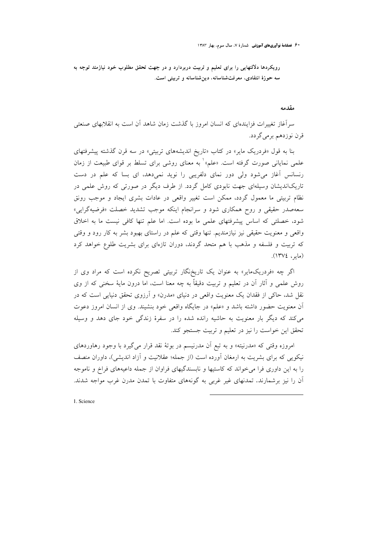۰ ۶ فصلنامهٔ نوآوریهای آموزشی -شمارهٔ ۷، سال سوم، بهار ۱۳۸۳

رویکردها دلالتهایی را برای تعلیم و تربیت دربردارد و در جهت تحقق مطلوب خود نیازمند توجه به سه حوزهٔ انتقادی، معرفتشناسانه، دینشناسانه و تربیتی است.

#### مقدمه

سرآغاز تغییرات فزایندهای که انسان امروز با گذشت زمان شاهد آن است به انقلابهای صنعتی قرن نوزدهم برمي گردد.

بنا به قول «فردریک مایر» در کتاب «تاریخ اندیشههای تربیتی» در سه قرن گذشته پیشرفتهای علمی نمایانی صورت گرفته است. «علم» به معنای روشی برای تسلط بر قوای طبیعت از زمان رنسانس آغاز میشود ولی دور نمای دلفریبی را نوید نمیدهد، ای بسا که علم در دست تاریکاندیشان وسیلهای جهت نابودی کامل گردد. از طرف دیگر در صورتی که روش علمی در نظام تربیتی ما معمول گردد، ممکن است تغییر واقعی در عادات بشری ایجاد و موجب رونق سعهصدر حقیقی و روح همکاری شود و سرانجام اینکه موجب تشدید خصلت «فرضیهگرایی» شود، خصلتی که اساس پیشرفتهای علمی ما بوده است. اما علم تنها کافی نیست ما به اخلاق واقعی و معنویت حقیقی نیز نیازمندیم. تنها وقتی که علم در راستای بهبود بشر به کار رود و وقتی که تربیت و فلسفه و مذهب با هم متحد گردند، دوران تازهای برای بشریت طلوع خواهد کرد (ماس، ١٣٧٤).

اگر چه «فردریکمایر» به عنوان یک تاریخنگار تربیتی تصریح نکرده است که مراد وی از روش علمی و آثار آن در تعلیم و تربیت دقیقاً به چه معنا است، اما درون مایهٔ سخنی که از وی نقل شد، حاکی از فقدان یک معنویت واقعی در دنیای «مدرن» و آرزوی تحقق دنیایی است که در آن معنویت حضور داشته باشد و «علم» در جایگاه واقعی خود بنشیند. وی از انسان امروز دعوت می کند که دیگر بار معنویت به حاشیه رانده شده را در سفرهٔ زندگی خود جای دهد و وسیله تحقق این خواست را نیز در تعلیم و تربیت جستجو کند.

امروزه وقتی که «مدرنیته» و به تبع آن مدرنیسم در بوتهٔ نقد قرار می گیرد با وجود رهاوردهای نیکویی که برای بشریت به ارمغان آورده است (از جمله؛ عقلانیت و آزاد اندیشی)، داوران منصف را به این داوری فرا می خواند که کاستیها و نابسندگیهای فراوان از جمله داعیههای فراخ و ناموجه آن را نیز برشمارند. تمدنهای غیر غربی به گونههای متفاوت با تمدن مدرن غرب مواجه شدند.

1. Science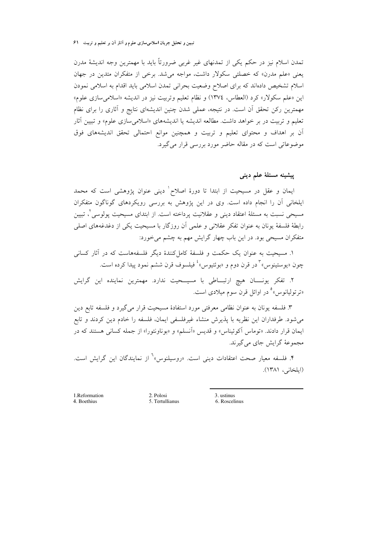تمدن اسلام نیز در حکم یکی از تمدنهای غیر غربی ضرورتاً باید با مهمترین وجه اندیشهٔ مدرن یعنی «علم مدرن» که خصلتی سکولار داشت، مواجه می شد. برخی از متفکران متدین در جهان اسلام تشخيص دادهاند كه براي اصلاح وضعيت بحراني تمدن اسلامي بايد اقدام به اسلامي نمودن اين «علم سكولار» كرد (العطاس، ١٣٧٤) و نظام تعليم وتربيت نيز در انديشه «اسلامي سازي علوم» مهمترین رکن تحقق آن است. در نتیجه، عملی شدن چنین اندیشهای نتایج و آثاری را برای نظام تعلیم و تربیت در بر خواهد داشت. مطالعه اندیشه یا اندیشههای «اسلامیِسازی علوم» و تبیین آثار آن بر اهداف و محتوای تعلیم و تربیت و همچنین موانع احتمالی تحقق اندیشههای فوق موضوعاتی است که در مقاله حاضر مورد بررسی قرار می گیرد.

ييشينه مسئلة علم ديني

ایمان و عقل در مسیحیت از ابتدا تا دورهٔ اصلاح ٰ دینی عنوان پژوهشی است که محمد ایلخانی آن را انجام داده است. وی در این پژوهش به بررسی رویکردهای گوناگون متفکران مسیحی نسبت به مسئلهٔ اعتقاد دینی و عقلانیت پرداخته است. از ابتدای مسیحیت پولوسی ٌ، تبیین رابطهٔ فلسفهٔ یونان به عنوان تفکر عقلانی و علمی آن روزگار با مسیحیت یکی از دغدغههای اصلی متفکران مسیحی بود. در این باب چهار گرایش مهم به چشم می خورد:

۱. مسیحیت به عنوان یک حکمت و فلسفهٔ کامل کنندهٔ دیگر فلسفههاست که در آثار کسانی چون «يوستينوس» ٌ در قرن دوم و «بوئتيوس» ٔ فيلسوف قرن ششم نمود پيدا كرده است.

۲. تفکر یونــــان هیچ ارتبـــاطی با مسیـــحیت ندارد. مهمترین نماینده این گرایش «ترتولیانوس» ْ در اوائل قرن سوم میلادی است.

۳. فلسفه یونان به عنوان نظامی معرفتی مورد استفادهٔ مسیحیت قرار میگیرد و فلسفه تابع دین میشود. طرفداران این نظریه با پذیرش منشاء غیرفلسفی ایمان، فلسفه را خادم دین کردند و تابع ایمان قرار دادند. «توماس آکوئیناس» و قدیس «انسلم» و «بوناونتورا» از جمله کسانی هستند که در مجموعهٔ گرایش جای میگیرند.

۴. فلسفه معیار صحت اعتقادات دینی است. «روسیلنوس»<sup>٦</sup> از نمایندگان این گرایش است. (ايلخاني، ١٣٨١).

1.Reformation 4. Boethius

2. Polosi 5. Tertullianus 3. ustinus

6. Roscelinus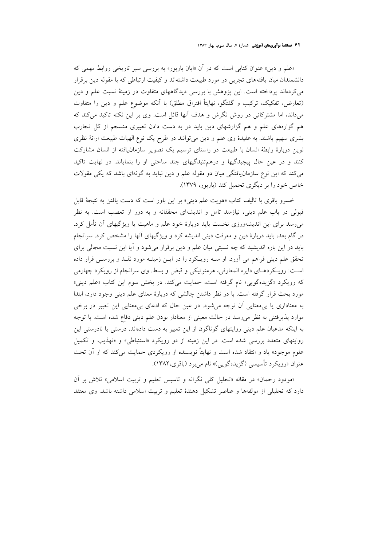«علم و دین» عنوان کتابی است که در آن «ایان باربور» به بررسی سیر تاریخی روابط مهمی که دانشمندان میان یافتههای تجربی در مورد طبیعت داشتهاند و کیفیت ارتباطی که با مقوله دین برقرار میکردهاند پرداخته است. این پژوهش با بررسی دیدگاههای متفاوت در زمینهٔ نسبت علم و دین (تعارض، تفکیک، ترکیب و گفتگو، نهایتاً افتراق مطلق) با آنکه موضوع علم و دین را متفاوت میداند، اما مشترکاتی در روش نگرش و هدف آنها قائل است. وی بر این نکته تاکید میکند که هم گزارههای علم و هم گزارشهای دین باید در به دست دادن تعبیری منسجم از کل تجارب بشری سهیم باشند. به عقیدهٔ وی علم و دین میٍ توانند در طرح یک نوع الهیات طبیعت ارائهٔ نظری نوین دربارهٔ رابطهٔ انسان با طبیعت در راستای ترسیم یک تصویر سازمان یافته از انسان مشارکت کنند و در عین حال پیچیدگیها و درهم تنیدگیهای چند ساحتی او را بنمایاند. در نهایت تاکید می کند که این نوع سازمان یافتگی میان دو مقوله علم و دین نباید به گونهای باشد که یکی مقولات خاص خود را بر دیگری تحمیل کند (باربور، ۱۳۷۹).

خسرو باقری با تالیف کتاب «هویت علم دینی» بر این باور است که دست یافتن به نتیجهٔ قابل قبولی در باب علم دینی، نیازمند تامل و اندیشهای محققانه و به دور از تعصب است. به نظر می رسد برای این اندیشهورزی نخست باید دربارهٔ خود علم و ماهیت یا ویژگیهای آن تأمل کرد. در گام بعد، باید دربارهٔ دین و معرفت دینی اندیشه کرد و ویژگیهای آنها را مشخص کرد. سرانجام باید در این باره اندیشید که چه نسبتی میان علم و دین برقرار می شود و آیا این نسبت مجالی برای تحقق علم دینی فراهم می آورد. او سـه رویـکرد را در ایــن زمینــه مورد نقــد و بررســی قرار داده است: رویکردهـای دایره المعارفی، هرمنوتیکی و قبض و بسط. وی سرانجام از رویکرد چهارمی که رویکرد «گزیدهگویی» نام گرفته است، حمایت میکند. در بخش سوم این کتاب «علم دینی» مورد بحث قرار گرفته است. با در نظر داشتن چالشی که دربارهٔ معنای علم دینی وجود دارد، ابتدا به معناداری یا بر معنایی آن توجه می شود. در عین حال که ادعای بی معنایی این تعبیر در برخی موارد پذیرفتنی به نظر میرسد در حالت معینی از معنادار بودن علم دینی دفاع شده است. با توجه به اینکه مدعیان علم دینی روایتهای گوناگون از این تعبیر به دست دادهاند، درستی یا نادرستی این روایتهای متعدد بررسی شده است. در این زمینه از دو رویکرد «استنباطی» و «تهذیب و تکمیل علوم موجود» یاد و انتقاد شده است و نهایتاً نویسنده از رویکردی حمایت می کند که از آن تحت عنوان «رويكرد تأسيسي (گزيدهگويي)» نام ميبرد (باقري،١٣٨٢).

«مودود رحمان» در مقاله «تحليل كلي نگرانه و تاسيس تعليم و تربيت اسلامي» تلاش بر آن دارد که تحلیلی از مولفهها و عناصر تشکیل دهندهٔ تعلیم و تربیت اسلامی داشته باشد. وی معتقد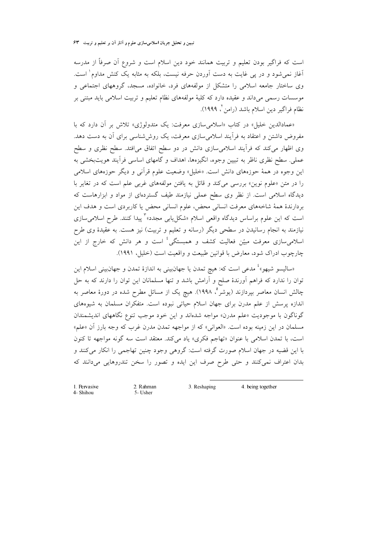است که فراگیر بودن تعلیم و تربیت همانند خود دین اسلام است و شروع آن صرفاً از مدرسه آغاز نمی شود و در پی غایت به دست آوردن حرفه نیست، بلکه به مثابه یک کنش مداوم<sup>\</sup> است. وی ساختار جامعه اسلامی را متشکل از مولفههای فرد، خانواده، مسجد، گروههای اجتماعی و موسسات رسمی میداند و عقیده دارد که کلیهٔ مولفههای نظام تعلیم و تربیت اسلامی باید مبتنی بر نظام فراگير دين اسلام باشد (رامن ً، ١٩٩٩).

«عمادالدین خلیلم» در کتاب «اسلامیمسازی معرفت: یک متدولوژی» تلاش بر آن دارد که با مفروض داشتن و اعتقاد به فرأیند اسلامیسازی معرفت، یک روششناسی برای آن به دست دهد. وی اظهار میکند که فرأیند اسلامیسازی دانش در دو سطح اتفاق میافتد. سطح نظری و سطح عملي. سطح نظري ناظر به تبيين وجوه، انگيزهها، اهداف و گامهاي اساسي فرآيند هويتبخشي به این وجوه در همهٔ حوزههای دانش است. «خلیل» وضعیت علوم قرآنی و دیگر حوزههای اسلامی را در متن «علوم نوین» بررسی میکند و قائل به یافتن مولفههای غربی علم است که در تغایر با دیدگاه اسلامی است. از نظر وی سطح عملی نیازمند طیف گستردهای از مواد و ابزارهاست که بردارندهٔ همهٔ شاخههای معرفت انسانی محض، علوم انسانی محض یا کاربردی است و هدف این است که این علوم براساس دیدگاه واقعی اسلام «شکل<sub>ی</sub>ابی مجدد»<sup>۳</sup> پیدا کنند. طرح اسلامیسازی نیازمند به انجام رسانیدن در سطحی دیگر (رسانه و تعلیم و تربیت) نیز هست. به عقیدهٔ وی طرح اسلامیِسازی معرفت مبیّن فعالیت کشف و همبستگی<sup>،</sup>ٔ است و هر دانش که خارج از این چارچوب ادراک شود، معارض با قوانین طبیعت و واقعیت است (خلیل، ۱۹۹۱).

«سالیسو شیهو»<sup>؛</sup> مدعی است که: هیچ تمدن یا جهانبینی به اندازهٔ تمدن و جهانبینی اسلام این توان را ندارد که فراهم آورندهٔ صلح و آرامش باشد و تنها مسلمانان این توان را دارند که به حل چالش انسان معاصر بپردازند (یوشر°، ۱۹۹۸). هیچ یک از مسائل مطرح شده در دورهٔ معاصر به اندازه پرسش از علم مدرن برای جهان اسلام حیاتی نبوده است. متفکران مسلمان به شیوههای گوناگون با موجودیت «علم مدرن» مواجه شدهاند و این خود موجب تنوع نگاههای اندیشمندان مسلمان در این زمینه بوده است. «العوانی» که از مواجهه تمدن مدرن غرب که وجه بارز آن «علم» است، با تمدن اسلامی با عنوان «تهاجم فكرى» ياد مى كند. معتقد است سه گونه مواجهه تا كنون با این قضیه در جهان اسلام صورت گرفته است: گروهی وجود چنین تهاجمی را انکار میکنند و بدان اعتراف نمی کنند و حتی طرح صرف این ایده و تصور را سخن تندروهایی میدانند که

3 Reshaping 2. Rahman 4 being together 5- Usher

1. Pervasive 4- Shihou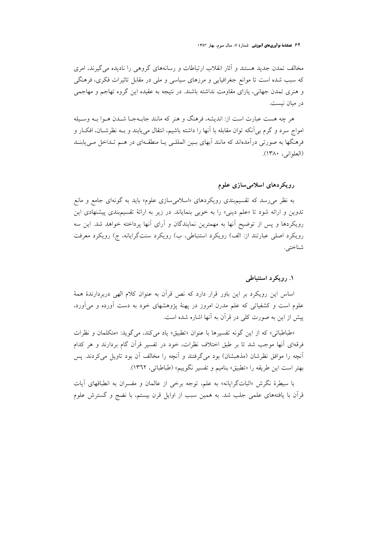۶<mark>۲ فصلنامهٔ نوآوریهای آموزشی</mark> شمارهٔ ۷، سال سوم، بهار ۱۳۸۳

مخالف تمدن جدید هستند و آثار انقلاب ارتباطات و رسانههای گروهی را نادیده می گیرند، امری که سبب شده است تا موانع جغرافیایی و مرزهای سیاسی و ملی در مقابل تاثیرات فکری، فرهنگی و هنری تمدن جهانی، یارای مقاومت نداشته باشند. در نتیجه به عقیده این گروه تهاجم و مهاجمی در ميان نيست.

هر چه هست عبارت است از: اندیشه، فرهنگ و هنر که مانند جابـهجـا شــدن هــوا بــه وســیله امواج سرد و گرم بی اَنکه توان مقابله با اَنها را داشته باشیم، انتقال می یابند و بـه نظرشــان، افکــار و فرهنگها به صورتی درآمدهاند که مانند آبهای بسین المللسی یـا منطقـهای در هــم تـداخل مــییابنــد (العلواني، ١٣٨٠).

## رویکردهای اسلامیسازی علوم

به نظر می رسد که تقسیم.بندی رویکردهای «اسلامیسازی علوم» باید به گونهای جامع و مانع تدوین و ارائه شود تا «علم دینی» را به خوبی بنمایاند. در زیر به ارائهٔ تقسیمبندی پیشنهادی این رویکردها و پس از توضیح آنها به مهمترین نمایندگان و آرای آنها پرداخته خواهد شد. این سه رویکرد اصلی عبارتند از: الف) رویکرد استنباطی، ب) رویکرد سنتگرایانه، ج) رویکرد معرفت شناختي.

## ۱. رویکرد استنباطی

اساس این رویکرد بر این باور قرار دارد که نص قرآن به عنوان کلام الهی دربردارندهٔ همهٔ علوم است و کشفیاتی که علم مدرن امروز در پهنهٔ پژوهشهای خود به دست آورده و میآورد، پیش از این به صورت کلی در قرآن به آنها اشاره شده است.

«طباطبائي» كه از اين گونه تفسيرها با عنوان «تطبيق» ياد مي كند، مي گويد: «متكلمان و نظرات فرقهای آنها موجب شد تا بر طبق اختلاف نظرات، خود در تفسیر قرآن گام بردارند و هر کدام آنچه را موافق نظرشان (مذهبشان) بود میگرفتند و آنچه را مخالف آن بود تاویل می کردند. پس بهتر است اين طريقه را «تطبيق» بناميم و تفسير نگوييم» (طباطبائي، ١٣٦٢).

با سیطرهٔ نگرش «اثباتگرایانه» به علم، توجه برخی از عالمان و مفسران به انطباقهای آیات قرآن با یافتههای علمی جلب شد. به همین سبب از اوایل قرن بیستم، با نضج و گسترش علوم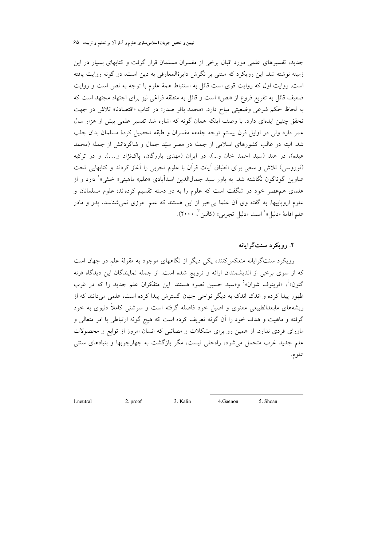جدید، تفسیرهای علمی مورد اقبال برخی از مفسران مسلمان قرار گرفت و کتابهای بسیار در این زمینه نوشته شد. این رویکرد که مبتنی بر نگرش دایرهٔالمعارفی به دین است، دو گونه روایت یافته است. روایت اول که روایت قوی است قائل به استنباط همهٔ علوم با توجه به نص است و روایت ضعیف قائل به تفریع فروع از «نص» است و قائل به منطقه فراغی نیز برای اجتهاد مجتهد است که به لحاظ حکم شرعی وضعیتی مباح دارد. «محمد باقر صدر» در کتاب «اقتصادنا» تلاش در جهت تحقق چنین ایدهای دارد. با وصف اینکه همان گونه که اشاره شد تفسیر علمی بیش از هزار سال عمر دارد ولي در اوايل قرن بيستم توجه جامعه مفسران و طبقه تحصيل كردهٔ مسلمان بدان جلب شد. البته در غالب کشورهای اسلامی از جمله در مصر سیّد جمال و شاگردانش از جمله (محمد عبده)، در هند (سید احمد خان و…)، در ایران (مهدی بازرگان، پاکنژاد و…)، و در ترکیه (نوروسی) تلاش و سعی برای انطباق آیات قرآن با علوم تجربی را آغاز کردند و کتابهایی تحت عناوین گوناگون نگاشته شد. به باور سید جمالالدین اسدآبادی «علم» ماهیتی« خنثی»<sup>۱</sup> دارد و از علمای هم عصر خود در شگفت است که علوم را به دو دسته تقسیم کردهاند: علوم مسلمانان و علوم اروپاییها. به گفته وی آن علما بی خبر از این هستند که علم ً مرزی نمی شناسد، یدر و مادر علم اقامهٔ «دلیل» کست «دلیل تجربی» (کالین کی ۲۰۰۰).

۲. ۱٫ مکرد سنت گرامانه

رویکرد سنتگرایانه منعکس کننده یکی دیگر از نگاههای موجود به مقولهٔ علم در جهان است که از سوی برخی از اندیشمندان ارائه و ترویج شده است. از جمله نمایندگان این دیدگاه «رنه گنون»<sup>م</sup>، «فریتوف شوان»° و«سید حسین نصر» هستند. این متفکران علم جدید را که در غرب ظهور پیدا کرده و اندک اندک به دیگر نواحی جهان گسترش پیدا کرده است، علمی میدانند که از ریشههای مابعدالطبیعی معنوی و اصیل خود فاصله گرفته است و سرشتی کاملاً دنیوی به خود گرفته و ماهیت و هدف خود را آن گونه تعریف کرده است که هیچ گونه ارتباطی با امر متعالی و ماورای فردی ندارد. از همین رو برای مشکلات و مصائبی که انسان امروز از توابع و محصولات علم جدید غرب متحمل میشود، راهحلی نیست، مگر بازگشت به چهارچوبها و بنیادهای سنتی علوم.

3. Kalin  $5$  Shoan 2. proof 4.Gaenon

1. neutral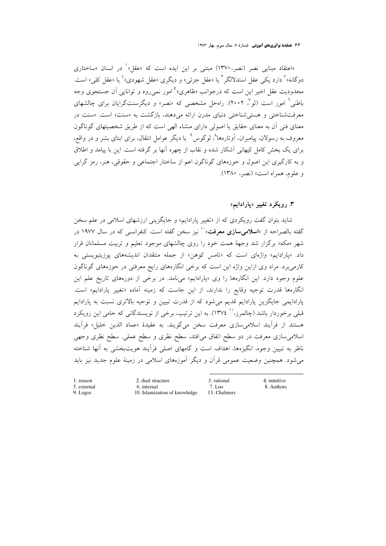«اعتقاد مبنایی نصر (نصر،۱۳۷۰) مبتنی بر این ایده است که «عقل»<sup>۱</sup> در انسان «ساختاری دوگانه»<sup>۲</sup> دارد یکی عقل استدلالگر <sup>۲</sup> یا «عقل جزئی» و دیگری «عقل شهودی» ٔ یا «عقل کلی» است. محدودیت عقل اخیر این است که درجوانب «ظاهری»<sup>ه</sup> امور نمی رود و توانایی آن جستجوی وجه باطنی<sup>٦</sup> امور است (لو٢ ٢٠٠٢). راهحل مشخصی که «نصر» و دیگرسنتگرایان برای چالشهای معرفتشناختی و هستی شناختی دنیای مدرن ارائه میدهند، بازگشت به «سنت» است. «سنت در معنای فنی آن به معنای حقایق یا اصولی دارای منشاء الهی است که از طریق شخصیتهای گوناگون معروف به رسولان، پیامبران، اَوتارهها^، لوگوس ° یا دیگر عوامل انتقال، برای ابنای بشر و در واقع، برای یک بخش کامل کیهانی آشکار شده و نقاب از چهره آنها بر گرفته است. این با پیامد و اطلاق و به کارگیری این اصول و حوزههای گوناگون اعم از ساختار اجتماعی و حقوقی، هنر، رمز گرایی و علوم، همراه است» (نصر، ۱۳۸۰).

## ۳. رویکرد تغییر «پارادایم»

شاید بتوان گفت رویکردی که از «تغییر پارادایم» و جایگزینی ارزشهای اسلامی در علم سخن گفته بالصراحه از «**اسلامی سازی معرفت**»<sup>۱۰</sup> نیز سخن گفته است. کنفرانسی که در سال ۱۹۷۷ در شهر «مکه» برگزار شد وجههٔ همت خود را روی چالشهای موجود تعلیم و تربیت مسلمانان قرار داد. «پارادایم» واژهای است که «تامس کوهن» از جمله منتقدان اندیشههای پوزیتیویستی به کارمی برد. مراد وی ازاین واژه این است که برخی انگارههای رایج معرفتی در حوزههای گوناگون علوم وجود دارد. این انگارهها را وی «پارادایم» میiامد. در برخی از دورههای تاریخ علم این انگارهها قدرت توجیه وقایع را ندارند، از این جاست که زمینه آماده «تغییر پارادایم» است. پارادایمی جایگزین پارادایم قدیم میشود که از قدرت تبیین و توجیه بالاتری نسبت به پارادایم قبلی برخوردار باشد (چالمرز،'' ١٣٧٤). به این ترتیب، برخی از نویسندگانی که حامی این رویکرد هستند از فرأيند اسلامي سازي معرفت سخن مي گويند. به عقيدهٔ «عماد الدين خليل» فرأيند اسلامی سازی معرفت در دو سطح اتفاق می|فتد، سطح نظری و سطح عملی. سطح نظری وجهی ناظر به تبیین وجوه، انگیزهها، اهداف است و گامهای اصلی فرآیند هویتبخشی به آنها شناخته می شود. همچنین وضعیت عمومی قرآن و دیگر آموزههای اسلامی در زمینهٔ علوم جدید نیز باید

1. reason 5. external 9. Logos

2. dual stracture 6. internal 10. Islamization of knowledge 3. rational  $7 \text{ I}$  00 11. Chalmers 4. intuitive 8. Authors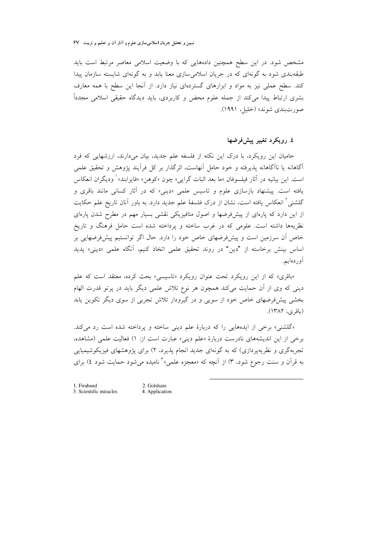مشخص شود. در این سطح همچنین دادههایی که با وضعیت اسلامی معاصر مرتبط است باید طبقهبندی شود به گونهای که در جریان اسلامی سازی معنا یابد و به گونهای شایسته سازمان پیدا کند. سطح عملی نیز به مواد و ابزارهای گستردهای نیاز دارد. از آنجا این سطح با همه معارف بشری ارتباط پیدا میکند از جمله علوم محض و کاربردی، باید دیدگاه حقیقی اسلامی مجدداً صورت بندي شوند» (خليل، ۱۹۹۱).

## ٤. رويکرد تغيير پيشفرضها

حامیان این رویکرد، با درک این نکته از فلسفه علم جدید، بیان میدارند، ارزشهایی که فرد آگاهانه یا ناآگاهانه پذیرفته و خود حامل آنهاست، اثرگذار بر کل فرآیند پژوهش و تحقیق علمی است. اين بيانيه در آثار فيلسوفان «ما بعد اثبات گرايي» چون «كوهن» «فايرابند» وديگران انعكاس یافته است. پیشنهاد بازسازی علوم و تاسیس علمی «دینی» که در آثار کسانی مانند باقری و گلشنی<sup>۲</sup> انعکاس یافته است، نشان از درک فلسفهٔ علم جدید دارد. به باور آنان تاریخ علم حکایت از این دارد که پارهای از پیشفرضها و اصول متافیزیکی نقشی بسیار مهم در مطرح شدن پارهای نظریهها داشته است. علومی که در غرب ساخته و پرداخته شده است حامل فرهنگ و تاریخ خاص آن سرزمین است و پیشفرضهای خاص خود را دارد. حال اگر توانستیم پیشفرضهایی بر اساس بینش برخاسته از "دین" در روند تحقیق علمی اتخاذ کنیم، آنگاه علمی «دینی» پدید آوردەايم.

«باقری» که از این رویکرد تحت عنوان رویکرد «تاسیسی» بحث کرده، معتقد است که علم دینی که وی از آن حمایت میکند همچون هر نوع تلاش علمی دیگر باید در پرتو قدرت الهام بخشی پیشفرضهای خاص خود از سویی و در گیرودار تلاش تجربی از سوی دیگر تکوین یابد (باقرى، ١٣٨٢).

«گلشنی» برخی از ایدههایی را که دربارهٔ علم دینی ساخته و پرداخته شده است رد میکند. برخی از این اندیشههای نادرست دربارهٔ «علم دینی» عبارت است از: ۱) فعالیت علمی (مشاهده، تجربهگری و نظریهپردازی) که به گونهای جدید انجام پذیرد، ۲) برای پژوهشهای فیزیکوشیمیایی به قرآن و سنت رجوع شود، ۳) از آنچه که «معجزه علمی» ٔ نامیده میشود حمایت شود ٤) برای

1. Firaband 3. Scientific miracles

2. Golshani 4. Application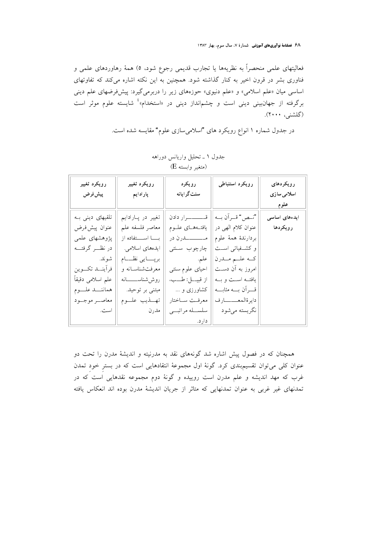۶۸ فصلنامهٔ نوآوریهای آموزشی شمارهٔ ۷، سال سوم، بهار ۱۳۸۳

فعالیتهای علمی منحصراً به نظریهها یا تجارب قدیمی رجوع شود، ٥) همهٔ رهاوردهای علمی و فناوری بشر در قرون اخیر به کنار گذاشته شود. همچنین به این نکته اشاره میکند که تفاوتهای اساسی میان «علم اسلامی» و «علم دنیوی» حوزههای زیر را دربرمیگیرد: پیشفرضهای علم دینی برگرفته از جهانبینی دینی است و چشم|نداز دینی در «استخدام»<sup>؛</sup> شایسته علوم موثر است (گلشنې، ۲۰۰۰).

در جدول شماره ۱ انواع رویکرد های "اسلامیسازی علوم" مقایسه شده است.

| رويكرد تغيير<br>پیشفروض | رويكرد تغيير<br>پارادايم           | رويكرد<br>سنت گرايانه | رويكرد استنباطى      | رويكردهاى<br>اسلامی سازی<br><u>علوم</u> |
|-------------------------|------------------------------------|-----------------------|----------------------|-----------------------------------------|
| تلقیهای دینی به         | تغییر در پارادایم                  | قـــــــــــرار دادن  | "نــص" قــراًن بــه  | ایدەھای اساسى                           |
| عنوان پيش فرض           | معاصر فلسفه علم                    | يافتـههــاي علــوم    | عنوان كلام الهي در   | رويكردها                                |
| پژوهشهای علمی           | بسا استفاده از                     | مـــــــــــدرن در    | بردارندة همة علوم    |                                         |
| در نظـــر گرفتـــه      | ايدەھاي اسلامى.                    | چارچوب ستتى           | و کشفیاتی است        |                                         |
| شوند.                   | برپـــــايى نظـــــام              | علم.                  | كــه علـــم مـــدرن  |                                         |
| فرأينــد تكـــوين       | معرفتشناسـانه و                    | احیای علوم سنتی       | امروز به آن دست      |                                         |
| علم اسلامی دقیقاً       | روش شناســـــــانه                 | از قبيـــل: طـــب،    | يافتــه اســت و بــه |                                         |
| هماننسد علسوم           | مبتنی بر توحید.                    | کشاورزی و …           | قسران بسه مثابسه     |                                         |
| معاصور موجسود           | تهــــــــــــــــــــــــــــــوم | معرفت ساختار          | دايرةالمعــــــارف   |                                         |
| است.                    | مدرن                               | سلســـله مراتبـــى    | نگريسته مي شود       |                                         |
|                         |                                    | دارد.                 |                      |                                         |

## جدول ١ ـ تحليل واريانس دوراهه (متغير وابسته E)

همچنان که در فصول پیش اشاره شد گونههای نقد به مدرنیته و اندیشهٔ مدرن را تحت دو عنوان کلی می توان تقسیم بندی کرد. گونهٔ اول مجموعهٔ انتقادهایی است که در بستر خود تمدن غرب که مهد اندیشه و علم مدرن است روییده و گونهٔ دوم مجموعه نقدهایی است که در تمدنهای غیر غربی به عنوان تمدنهایی که متاثر از جریان اندیشهٔ مدرن بوده اند انعکاس یافته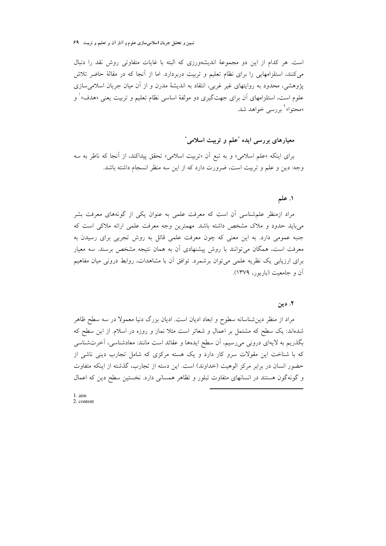تبیین و تحلیل جریان اسلامیسازی علوم و آثار آن بر تعلیم و تربیت ۹۹

است. هر كدام از اين دو مجموعهٔ انديشهورزي كه البته با غايات متفاوتي روش نقد را دنبال میکنند، استلزامهایی را برای نظام تعلیم و تربیت دربردارد. اما از آنجا که در مقالهٔ حاضر تلاش یژوهشی، محدود به روایتهای غیر غربی، انتقاد به اندیشهٔ مدرن و از آن میان جریان اسلامیِسازی علوم است، استلزامهای آن برای جهتگیری دو مولفهٔ اساسی نظام تعلیم و تربیت یعنی «هدف» ٰ و «محتوا»<sup>۲</sup> پر <sub>د</sub>سی خواهد شد.

## معیارهای بررسی ایده "علم و تربیت اسلامی"

براي اينكه «علم اسلامي» و به تبع أن «تربيت اسلامي» تحقق پيداكند، از أنجا كه ناظر به سه وجه: دين و علم و تربيت است، ضرورت دارد كه از اين سه منظر انسجام داشته باشد.

## ١. علم

مراد ازمنظر علم شناسی أن است که معرفت علمی به عنوان یکی از گونههای معرفت بشر میباید حدود و ملاک مشخص داشته باشد. مهمترین وجه معرفت علمی ارائه ملاکی است که جنبه عمومی دارد. به این معنی که چون معرفت علمی قائل به روش تجربی برای رسیدن به معرفت است، همگان میتوانند با روش پیشنهادی آن به همان نتیجه مشخص برسند. سه معیار برای ارزیابی یک نظریه علمی می توان برشمرد. توافق آن با مشاهدات، روابط درونی میان مفاهیم آن و جامعیت (باربور، ۱۳۷۹).

#### ۲. دین

مراد از منظر دین شناسانه سطوح و ابعاد ادیان است. ادیان بزرگ دنیا معمولا در سه سطح ظاهر شدهاند: یک سطح که مشتمل بر اعمال و شعائر است مثلاً نماز و روزه در اسلام. از این سطح که بگذریم به لایهای درونی میرسیم، أن سطح ایدهها و عقائد است مانند: معادشناسی، أخرتشناسی که با شناخت این مقولات سرو کار دارد و یک هسته مرکزی که شامل تجارب دینی ناشی از حضور انسان در برابر مرکز الوهیت (خداوند) است. این دسته از تجارب، گذشته از اینکه متفاوت و گونهگون هستند در انسانهای متفاوت تبلور و تظاهر همسانی دارد. نخستین سطح دین که اعمال

 $1.$ aim  $2.$  content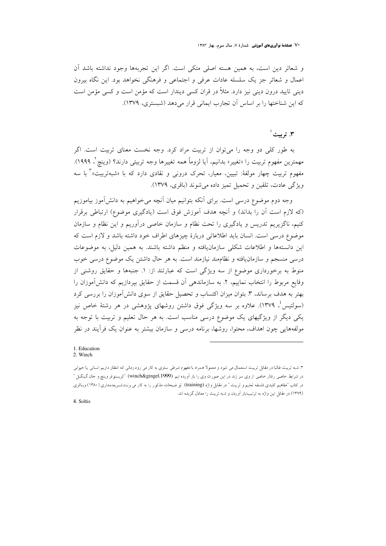**۰ / فصلنامهٔ نوآوریهای آموزشی** شمارهٔ ۷، سال سوم، بهار ۱۳۸۳

و شعائر دين است، به همين هسته اصلي متكي است. اگر اين تجربهها وجود نداشته باشد آن اعمال و شعائر جز یک سلسله عادات عرفی و اجتماعی و فرهنگی نخواهد بود. این نگاه بیرون دینی تایید درون دینی نیز دارد. مثلاً در قران کسی دیندار است که مؤمن است و کسی مؤمن است که این شناختها را بر اساس آن تجارب ایمانی قرار می دهد (شبستری، ۱۳۷۹).

### ۳. ترست ٰ

به طور کلی دو وجه را می توان از تربیت مراد کرد. وجه نخست معنای تربیت است. اگر مهمترين مفهوم تربيت را «تغيير» بدانيم، آيا لزوماً همه تغييرها وجه تربيتي دارند؟ (وينچ<sup>7</sup>، ١٩٩٩). مفهوم تربیت چهار مولفهٔ: تبیین، معیار، تحرک درون<sub>ی</sub> و نقادی دارد که با «شبهتربیت»<sup>۳</sup> با سه ويژگي عادت، تلقين و تحميل تميز داده مي شوند (باقري، ١٣٧٩).

وجه دوم موضوع درسی است. برای آنکه بتوانیم میان آنچه می خواهیم به دانشآموز بیاموزیم (که لازم است آن را بداند) و آنچه هدف آموزش فوق است (یادگیری موضوع) ارتباطی برقرار کنیم، ناگزیریم تدریس و یادگیری را تحت نظام و سازمان خاصی درآوریم و این نظام و سازمان موضوع درسی است. انسان باید اطلاعاتی دربارهٔ چیزهای اطراف خود داشته باشد و لازم است که این دانستهها و اطلاعات شکلی سازمان یافته و منظم داشته باشند. به همین دلیل، به موضوعات درسی منسجم و سازمان یافته و نظاممند نیازمند است. به هر حال داشتن یک موضوع درسی خوب منوط به برخورداری موضوع از سه ویژگی است که عبارتند از: ١. جنبهها و حقایق روشنی از وقايع مربوط را انتخاب نماييم، ٢. به سازماندهي آن قسمت از حقايق بيردازيم كه دانش آموزان را بهتر به هدف برساند، ۳. بتوان میزان اکتساب و تحصیل حقایق از سوی دانش[موزان را بررسی کرد (سولتیسٴ، ۱۳۷۹). علاوه بر سه ویژگی فوق داشتن روشهای پژوهشی در هر رشتهٔ خاص نیز یکی دیگر از ویژگیهای یک موضوع درسی مناسب است. به هر حال تعلیم و تربیت با توجه به مولفههایی چون اهداف، محتوا، روشها، برنامه درسی و سازمان بیشتر به عنوان یک فرآیند در نظر

#### 1. Education 2. Winch

4. Soltis

۳. شبه تربیت غالبا در مقابل تربیت استعمال می شود و معمولا همراه با مفهوم شرطی سلزی به کار می رود.زمانی که انتظار داریم انسانی یا حیوانی در شرایط خاصی رفتار خاصی از وی سر زند در این صورت وی را بار اَورده ایم. (winch&gingel.1999) "کریستوفر وینچ و جان گینگــل " در کتاب "مفاهیم کلیدی فلسفه تعلیم و تربیت " در مقابل واژه (training) تو ضیحات مذکور را به کار می برنـد.شــریعتمداری (۱۳۸۰) وبـاقری (۱۳۷۹) در مقابل این واژه به ترتیب:بار اَوردن و شبه تربیت را معادل گزیده اند.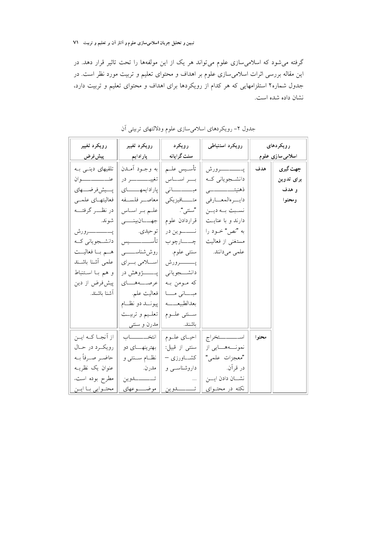گرفته می شود که اسلامی سازی علوم می تواند هر یک از این مولفهها را تحت تاثیر قرار دهد. در این مقاله بررسی اثرات اسلامیِسازی علوم بر اهداف و محتوای تعلیم و تربیت مورد نظر است. در جدول شماره۲ استلزامهایی که هر کدام از رویکردها برای اهداف و محتوای تعلیم و تربیت دارد، نشان داده شده است.

| رويكرد تغيير          | رويكرد تغيير          | رويكرد            | رويكرد استنباطي    |       | رویکردهای        |
|-----------------------|-----------------------|-------------------|--------------------|-------|------------------|
| ____ پي <u>ش فرض</u>  | <mark>پارادايم</mark> | سنت گرایانه       |                    |       | اسلامی سازی علوم |
| تلقیهای دینی به       | به وجـود أمــدن       | تأسـيس علــم      |                    | هدف   | جهت گیری         |
| عنــــــــــــــــوان |                       | بسر اسساس         | دانشجویانی که      |       | برای تدوین       |
| يــــيش فرضــــهاى    | پارادايمهـــاى        |                   |                    |       | و هدف            |
| فعاليتهــاي علمــي    | معاصب فلسنفه          | متـــــــافيزيكي  | دايسر هالمعسارفي   |       | ومحتوا           |
| در نظــــر گرفتــــه  | علـم بـر اسـاس        | "سنتبي".          | نسبت بله ديلن      |       |                  |
| شوند.                 | جهـــــانبينــــــى   | قراردادن علوم     | دارند و با عنایت   |       |                  |
|                       | توحيدي.               | نــــــوين در     | به "نص" خــود را   |       |                  |
| دانشــجوياني كــه     | تأســــــــــــيس     | چـــــارچوب       | مستغنى از فعاليت   |       |                  |
| هم با فعاليت          | روش شناســــــــــی   | سنتبي علوم.       | علمی میدانند.      |       |                  |
| علمى أشنا باشند       | اسلامی برای           |                   |                    |       |                  |
| و هم بــا اسـتنباط    |                       | دانشــــجوياني    |                    |       |                  |
| پیش فرض از دین        | عرصـــةهــاي          | که مومن به        |                    |       |                  |
| آشنا باشند.           | فعاليت علم.           | مبسانی مسا        |                    |       |                  |
|                       | پيونـــد دو نظـــام   | بعدالطبيعـــــه   |                    |       |                  |
|                       | تعلــيم و تربيــت     | ســـنتى علـــوم   |                    |       |                  |
|                       | مدرن و سنتبي          | باشند. ا          |                    |       |                  |
| از اًنجــا کــه ايــن |                       | احيماي علوم       | اســــــــــتخراج  | محتوا |                  |
| رويكرد در حـال        | بهترینهـــای دو       | سنتى از قبيل:     | نمونـــههـــايي از |       |                  |
| حاضىر صىرفاً بىه      | نظــام ســـنتـى و     | کشــــاورزی –     | "معجزات علمي"      |       |                  |
| عنوان یک نظریــه      | مدرن.                 | داروشناسبی و      | در قرآن.           |       |                  |
| مطرح بوده است،        |                       |                   | نشسان دادن ایسن    |       |                  |
| محتـوايي بــا ايــن   | موضـــــوعهاى         | تــــــــــــدوين | نکته در محتــوای   |       |                  |

جدول ۲– رویکردهای اسلامیسازی علوم ودلالتهای تربیتی آن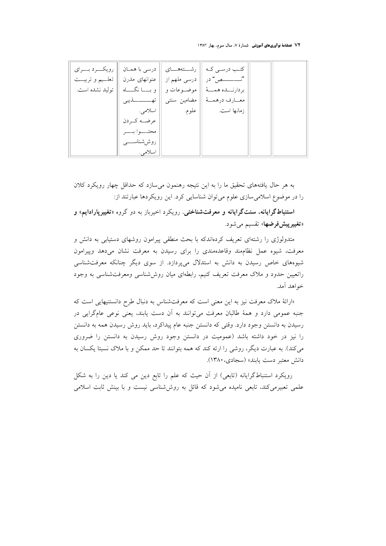۷۲ فصلنامهٔ نوآوریهای آموزشی شمارهٔ ۷، سال سوم، بهار ۱۳۸۳

| رویکـــرد بــــرای  | درسی با همـان   <sub>ا</sub> |              | كتب درسي كـه    رشــــتههـــــاي |  |
|---------------------|------------------------------|--------------|----------------------------------|--|
| تعلـــيم و تربيـــت | عنوانهای مدرن                | درسی ملهم از | " <i>تــــــــــص</i> " در       |  |
| توليد نشده است.     | و بـــــا نگــــــاه         | موضـــوعات و | بردارنـــده همـــهٔ              |  |
|                     |                              | مضامین سنتی  | معــارف درهمــهٔ                 |  |
|                     | اسلامى.                      | ۱٫ علوم.     | زمانها است.                      |  |
|                     | عرضــه کــردن                |              |                                  |  |
|                     | محتــــوا بـــــر            |              |                                  |  |
|                     | روششناســـــــی              |              |                                  |  |
|                     | اسلامي.                      |              |                                  |  |

به هر حال یافتههای تحقیق ما را به این نتیجه رهنمون می سازد که حداقل چهار رویکرد کلان را در موضوع اسلامی سازی علوم می توان شناسایی کرد. این رویکردها عبارتند از:

استنباطگرايانه، سنتگرايانه و معرفتشناختي. رويکرد اخيرباز به دو گروه «تغييرپارادايم» و «**تغییرییش فرضها**» تقسیم می شود.

متدولوژی را رشتهای تعریف کردهاندکه با بحث منطقی پیرامون روشهای دستیابی به دانش و معرفت، شیوه عمل نظاممند وقاعدهمندی را برای رسیدن به معرفت نشان میدهد وپیرامون شیوههای خاص رسیدن به دانش به استدلال میپردازد. از سوی دیگر چنانکه معرفتشناسی راتعیین حدود و ملاک معرفت تعریف کنیم، رابطهای میان روششناسی ومعرفتشناسی به وجود خواهد آمد.

«ارائهٔ ملاک معرفت نیز به این معنی است که معرفتشناس به دنبال طرح دانستنیهایی است که جنبه عمومی دارد و همهٔ طالبان معرفت میتوانند به آن دست یابند، یعنی نوعی عامگرایی در رسیدن به دانستن وجود دارد. وقتی که دانستن جنبه عام پیداکرد، باید روش رسیدن همه به دانستن را نیز در خود داشته باشد (عمومیت در دانستن وجود روش رسیدن به دانستن را ضروری می کند). به عبارت دیگر، روشی را ارئه کند که همه بتوانند تا حد ممکن و با ملاک نسبتا یکسان به دانش معتبر دست يابند» (سجادي، ١٣٨٠).

رویکرد استنباطگرایانه (تابعی) از آن حیث که علم را تابع دین می کند یا دین را به شکل علمی تعبیرمی کند، تابعی نامیده می شود که قائل به روش شناسی نیست و با بینش ثابت اسلامی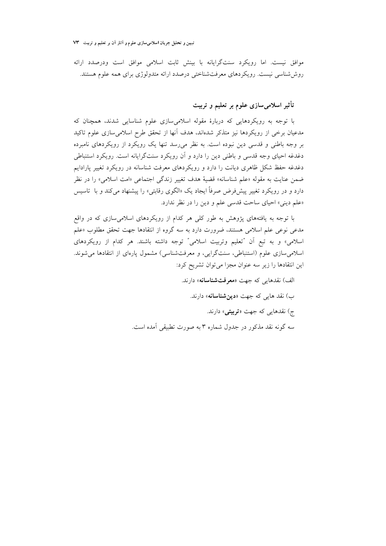تبیین و تحلیل جریان اسلامیسازی علوم و آثار آن بر تعلیم و تربیت ۷۳

موافق نیست. اما رویکرد سنتگرایانه با بینش ثابت اسلامی موافق است ودرصدد ارائه روش شناسی نیست. رویکردهای معرفتشناختی درصدد ارائه متدولوژی برای همه علوم هستند.

## تأثیر اسلامیسازی علوم بر تعلیم و تربیت

با توجه به رویکردهایی که دربارهٔ مقوله اسلامیِسازی علوم شناسایی شدند، همچنان که مدعیان برخی از رویکردها نیز متذکر شدهاند، هدف آنها از تحقق طرح اسلامی سازی علوم تاکید بر وجه باطنی و قدسی دین نبوده است. به نظر می رسد تنها یک رویکرد از رویکردهای نامبرده دغدغه احیای وجه قدسی و باطنی دین را دارد و آن رویکرد سنتگرایانه است. رویکرد استنباطی دغدغه حفظ شکل ظاهری دیانت را دارد و رویکردهای معرفت شناسانه در رویکرد تغییر پارادایم ضمن عنايت به مقوله «علم شناسانه» قضيهٔ هدف تغيير زندگي اجتماعي «امت اسلامي» را در نظر دارد و در رویکرد تغییر پیشفر ض صرفاً ایجاد یک «الگوی رقابتی» را پیشنهاد می کند و با تاسیس «علم ديني» احياي ساحت قدسي علم و دين را در نظر ندارد.

با توجه به یافتههای پژوهش به طور کلی هر کدام از رویکردهای اسلامیسازی که در واقع مدعی نوعی علم اسلامی هستند، ضرورت دارد به سه گروه از انتقادها جهت تحقق مطلوب «علم اسلامی» و به تبع آن "تعليم وتربيت اسلامي" توجه داشته باشند. هر كدام از رويكردهاى اسلامی سازی علوم (استنباطی، سنتگرایی، و معرفتشناسی) مشمول پارهای از انتقادها می شوند. این انتقادها را زیر سه عنوان مجزا میتوان تشریح کرد:

> الف) نقدهایی که جهت «معرفتشناسانه» دارند. ب) نقد هایی که جهت «**دین شناسانه**» دارند. ج) نقدهایی که جهت «**تربیتی**» دارند. سه گونه نقد مذکور در جدول شماره ۳ به صورت تطبیقی آمده است.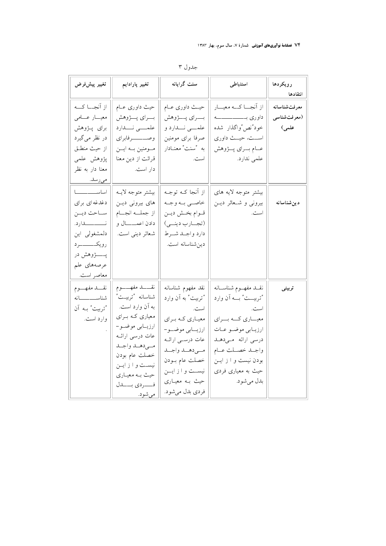## ۷۴ ف**صلنامهٔ نوآوریهای آموزشی** شمارهٔ ۷، سال سوم، بهار ۱۳۸۳

| تغيير پيشفررض                                                                                                                                             | تغيير پارادايم                                                                                                                                                                                                                        | سنت گرایانه                                                                                                                                                                                                     | استنباطى                                                                                                                                                                                                       | رويكردها<br>انتقادها                  |
|-----------------------------------------------------------------------------------------------------------------------------------------------------------|---------------------------------------------------------------------------------------------------------------------------------------------------------------------------------------------------------------------------------------|-----------------------------------------------------------------------------------------------------------------------------------------------------------------------------------------------------------------|----------------------------------------------------------------------------------------------------------------------------------------------------------------------------------------------------------------|---------------------------------------|
| از اَنجـــا كـــه<br>معيسار عسامى<br>برای پـژوهش<br>در نظر مي گيرد<br>از حيث منطـق<br>پژوهش علمی<br>معنا دار به نظر<br>مىرىسد.<br>-                       | حیث داوری عـام<br>بسراي پسژوهش<br>علمـــى نـــدارد<br>مومنين به ايــن<br>قرائت از دين معنا<br>دار است.                                                                                                                                | حيـث داوري عــام<br>بسراي پسژوهش<br>علمــــي نــــدارد و<br>صرفا براى مومنين<br>به "سنت" معنـادار<br>است.                                                                                                       | از اَنجـــا كـــه معيـــار<br>داوري بـــــــــــــــــــــه<br>خود"نص"واگذار شده<br>اســت، حيــث داوري<br>عــام بــراي پــژوهش<br>علمی ندارد.                                                                  | معرفتشناسانه<br>(معرفت شناسي<br>علمی) |
| اساســـــــــــا<br>دغدغهای برای<br>ساحت دين<br>نـــــــــــدارد.<br>دلمشغولي اين<br>رويكــــــــــــرد<br>پـــــــــژوهش در<br>عرصههای علم<br>معاصر است. | بيشتر متوجه لايـه<br>های بیرونی دیـن<br>از جملسه انجسام<br>دادن اعمــــال و<br>شعائر ديني است.                                                                                                                                        | از اَنجا کـه توجـه<br>خاصى به وجه<br>قوام بخش دين<br>(تجارب دينمي)<br>دارد واجلد شرط<br>دين شناسانه است.                                                                                                        | بیشتر متوجه لایه های<br>بیرونی و شعائر دین<br>است.                                                                                                                                                             | دین شناسانه                           |
| نقسد مفهسوم<br>شناســـــــــانه<br>"تربيت" بـه آن<br>وارد است.                                                                                            | نقـــــد مفهـــــــوم<br>شناسانه "تربيت"<br>به آن وارد است.<br>معیاری کـه بـرای<br>ارزيابي موضو–<br>عات درسی ارائــه<br>مىي دهـد واجـد<br>خصلت عام بودن<br>نيست و از ايــن<br>حیث بـه معیـاري<br>فسسردي بسسدل<br><u>مي شود. _____</u> | نقد مفهوم شناسانه<br>"تربيت" به آن وارد<br>است.<br>معیـاري کـه بـراي<br>ارزيـــابى موضـــو-<br>عات درســی ارائــه<br>مىي دهــد واجــد<br>خصلت عام بــودن<br>نيست وازايـن<br>حیث بـه معیـاری<br>فردي بدل مي شود. | نقسد مفهسوم شناسسانه<br>"تربيـــت" بـــه آن وارد<br>است.<br>معیـــاري كـــه بـــراي<br>ارزيــابي موضــو عــات<br>درسی ارائه میدهد<br>واجلد خصلت عام<br>بودن نیست و از این<br>حیث به معیاری فردی<br>بدل مي شود. | تربيتي                                |

## جدول ۳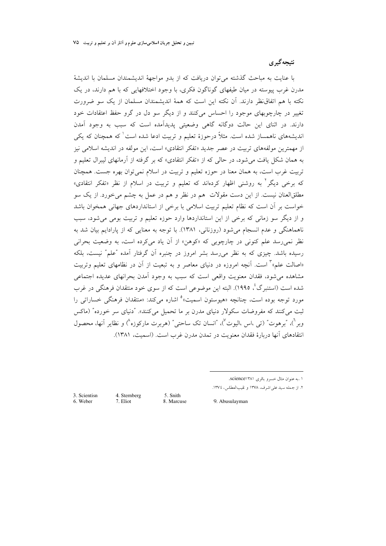#### نتيجه گيري

با عنايت به مباحث گذشته مي توان دريافت كه از بدو مواجههٔ انديشمندان مسلمان با انديشهٔ مدرن غرب پیوسته در میان طبقهای گوناگون فکری، با وجود اختلافهایی که با هم دارند، در یک نکته با هم اتفاق نظر دارند. اَن نکته این است که همهٔ اندیشمندان مسلمان از یک سو ضرورت تغییر در چارچوبهای موجود را احساس می کنند و از دیگر سو دل در گرو حفظ اعتقادات خود دارند. در اثنای این حالت دوگانه گاهی وضعیتی پدیدآمده است که سبب به وجود آمدن اندیشههای ناهمساز شده است. مثلاً درحوزهٔ تعلیم و تربیت ادعا شده است<sup>ا</sup> که همچنان که یکی از مهمترین مولفههای تربیت در عصر جدید «تفکر انتقادی» است، این مولفه در اندیشه اسلامی نیز به همان شکل یافت می شود، در حالی که از «تفکر انتقادی» که بر گرفته از آرمانهای لیبرال تعلیم و تربیت غرب است، به همان معنا در حوزه تعلیم و تربیت در اسلام نمی توان بهره جست. همچنان که برخی دیگر<sup>۲</sup> به روشنی اظهار کردهاند که تعلیم و تربیت در اسلام از نظر «تفکر انتقادی» مطلقالعنان نیست. از این دست مقولات ً هم در نظر و هم در عمل به چشم می خورد. از یک سو خواست بر آن است که نظام تعلیم تربیت اسلامی با برخی از استانداردهای جهانی همخوان باشد و از دیگر سو زمانی که برخی از این استانداردها وارد حوزه تعلیم و تربیت بومی می شود، سبب ناهماهنگی و عدم انسجام میشود (روزنانی، ۱۳۸۱). با توجه به معنایی که از پارادایم بیان شد به نظر نمي رسد علم كنوني در چارچوبي كه «كوهن» از آن ياد ميكرده است، به وضعيت بحراني رسیده باشد. چیزی که به نظر میرسد بشر امروز در چنبره آن گرفتار آمده "علم" نیست، بلکه «اصالت علم» ٔ است. آنچه امروزه در دنیای معاصر و به تبعیت از آن در نظامهای تعلیم وتربیت مشاهده می شود، فقدان معنویت واقعی است که سبب به وجود آمدن بحرانهای عدیده اجتماعی شده است (استنبرگ'، ۱۹۹۵). البته این موضوعی است که از سوی خود منتقدان فرهنگی در غرب مورد توجه بوده است، چنانچه «هیوستون اسمیت» ْ اشاره میکند: «منتقدان فرهنگی خساراتی را ثبت می کنند که مفروضات سکولار دنیای مدرن بر ما تحمیل می کنند». "دنیای سر خورده" (ماکس وبر<sup>ف</sup>)، "برهوت" (تي ،اس ،اليوت<sup>7</sup>)، "انسان تک ساحتي" (هربرت مارکوزه<sup>^</sup>) و نظاير آنها، محصول انتقادهای آنها دربارهٔ فقدان معنویت در تمدن مدرن غرب است. (اسمیت، ۱۳۸۱).

٢. از جمله سيد على اشرف، ١٣٧٨ و نقيبالعطاس، ١٣٧٤.

3. Scientisn 6. Weber

4. Sternberg 7. Eliot

5. Snith 8. Marcuse

9. Abusulayman

۱ .به عنوان مثال خسرو باقری science۱۳۸۱.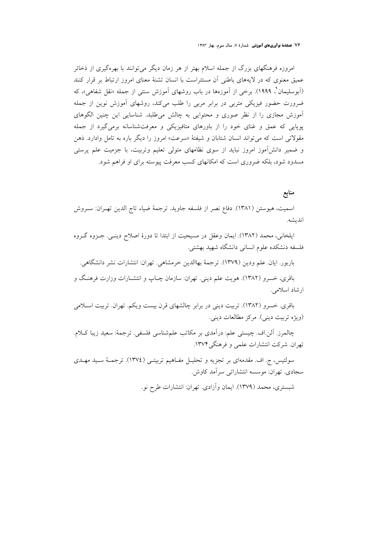۷۶ فصلنامهٔ نوآوریهای آموزشی شمارهٔ ۷، سال سوم، بهار ۱۳۸۳

امروزه فرهنگهای بزرگ از جمله اسلام بهتر از هر زمان دیگر می توانند با بهرهگیری از ذخائر عمیق معنوی که در لایههای باطنی آن مستتراست با انسان تشنهٔ معنای امروز ارتباط بر قرار کنند (اَبوسلیمان ؓ، ۱۹۹۹). برخی از اَموزهها در باب روشهای اَموزش سنتی از جمله «نقل شفاهی»، که ضرورت حضور فیزیکی متربی در برابر مربی را طلب میکند، روشهای آموزش نوین از جمله اًموزش مجازی را از نظر صوری و محتوایی به چالش میطلبد. شناسایی این چنین الگوهای پویایی که عمق و غنای خود را از باورهای متافیزیکی و معرفتشناسانه برمیگیرد از جمله مقولاتی است که می تواند انسان شتابان و شیفتهٔ «سرعت» امروز را دیگر باره به تامل وادارد. ذهن و ضمیر دانشآموز امروز نباید از سوی نظامهای متولی تعلیم وتربیت، با جزمیت علم پرستی مسدود شود، بلکه ضروری است که امکانهای کسب معرفت پیوسته برای او فراهم شود.

## منابع

اسميت، هيوستن (١٣٨١). دفاع نصر از فلسفه جاويد. ترجمهٔ ضياء تاج الدين تهـران: سـروش اندىشە.

ايلخاني، محمد (١٣٨٢). ايمان وعقل در مسيحيت از ابتدا تا دورهٔ اصلاح دينـي. جـزوه گـروه فلسفه دنشکده علوم انسانی دانشگاه شهید بهشتی.

باربور. ايان. علم ودين (١٣٧٩). ترجمهٔ بهاالدين خرمشاهي. تهران: انتشارات نشر دانشگاهي.

باقری، خسرو (۱۳۸۲). هویت علم دینی. تهران: سازمان چـاپ و انتشـارات وزارت فرهنـگ و ارشاد اسلامی.

باقری. خسرو (۱۳۸۲). تربیت دینی در برابر چالشهای قرن بیست ویکم. تهران. تربیت اسلامی (ویژه تربیت دینی). مرکز مطالعات دینی.

چالمرز. اَلن اف چیستی علم: درآمدی بر مکاتب علمشناسی فلسفی. ترجمهٔ: سعید زیبا کـلام. تهران. شركت انتشارات علمي و فرهنگي ١٣٧۴.

سولتيس، ج. اف. مقدمهاي بر تجزيه و تحليـل مفـاهيم تربيتـي (١٣٧٤). ترجمــهٔ سـيد مهــدي سجادي. تهران: موسسه انتشاراتي سرآمد كاوش.

شبستری، محمد (۱۳۷۹). ایمان و آزادی. تهران: انتشارات طرح نو.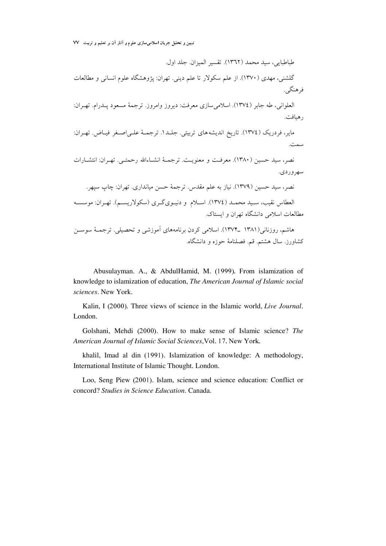تبیین و تحلیل جریان اسلامیسازی علوم و آثار آن بر تعلیم و تربیت VV

طباطبايي، سيد محمد (١٣٦٢). تقسير الميزان. جلد اول. گلشنی، مهدی (۱۳۷۰). از علم سکولار تا علم دینی. تهران: پژوهشگاه علوم انسانی و مطالعات فرهنگے ِ. العلواني، طه جاير (١٣٧٤). اسلامي سازي معرفت: ديروز وامروز. ترجمهٔ مسعود پيدرام. تهيران: ر هيافت. مایر، فردریک (١٣٧٤). تاریخ اندیشههای تربیتی. جلید۱. ترجمیهٔ علی اصبغر فیاض. تهران: سمت. نصر، سيد حسين (١٣٨٠). معرفت و معنويت. ترجمـهٔ انشـاءالله رحمتـي. تهـران: انتشـارات سهرور دی. نصر، سيد حسين (١٣٧٩). نياز به علم مقدس. ترجمهٔ حسن ميانداري. تهران: چاپ سيهر. العطاس نقيب، سـيد محمـد (١٣٧٤). اسـلام و دنيـويگـري (سكولاريسـم). تهـران: موسسـه مطالعات اسلامی دانشگاه تهران و ایستاک. هاشم، روزنانی(۱۳۸۱ \_۱۳۷۴). اسلامی کردن برنامههای آموزشی و تحصیلی. ترجمـهٔ سوسـن كشاورز. سال هشتم. قم. فصلنامهٔ حوزه و دانشگاه.

Abusulayman. A., & AbdulHamid, M. (1999). From islamization of knowledge to islamization of education, The American Journal of Islamic social sciences. New York.

Kalin, I (2000). Three views of science in the Islamic world, Live Journal. London.

Golshani, Mehdi (2000). How to make sense of Islamic science? The American Journal of Islamic Social Sciences, Vol. 17. New York.

khalil, Imad al din (1991). Islamization of knowledge: A methodology, International Institute of Islamic Thought. London.

Loo, Seng Piew (2001). Islam, science and science education: Conflict or concord? Studies in Science Education. Canada.